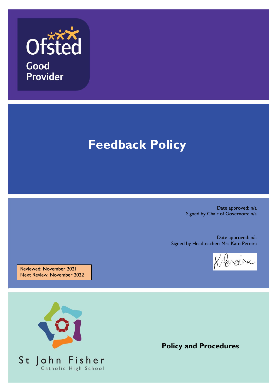

# **Feedback Policy**

Date approved: n/a Signed by Chair of Governors: n/a

Date approved: n/a Signed by Headteacher: Mrs Kate Pereira

preira

Reviewed: November 2021 Next Review: November 2022



**Policy and Procedures**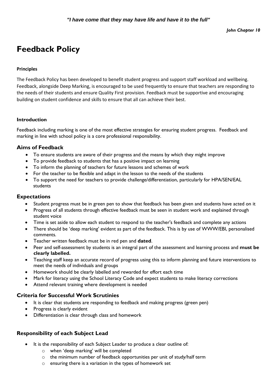# **Feedback Policy**

#### **Principles**

The Feedback Policy has been developed to benefit student progress and support staff workload and wellbeing. Feedback, alongside Deep Marking, is encouraged to be used frequently to ensure that teachers are responding to the needs of their students and ensure Quality First provision. Feedback must be supportive and encouraging building on student confidence and skills to ensure that all can achieve their best.

#### **Introduction**

Feedback including marking is one of the most effective strategies for ensuring student progress. Feedback and marking in line with school policy is a core professional responsibility.

#### **Aims of Feedback**

- To ensure students are aware of their progress and the means by which they might improve
- To provide feedback to students that has a positive impact on learning
- To inform the planning of teachers for future lessons and schemes of work
- For the teacher to be flexible and adapt in the lesson to the needs of the students
- To support the need for teachers to provide challenge/differentiation, particularly for HPA/SEN/EAL students

#### **Expectations**

- Student progress must be in green pen to show that feedback has been given and students have acted on it
- Progress of all students through effective feedback must be seen in student work and explained through student voice
- Time is set aside to allow each student to respond to the teacher's feedback and complete any actions
- There should be 'deep marking' evident as part of the feedback. This is by use of WWW/EBI, personalised comments.
- Teacher written feedback must be in red pen and **dated**.
- Peer and self-assessment by students is an integral part of the assessment and learning process and **must be clearly labelled.**
- Teaching staff keep an accurate record of progress using this to inform planning and future interventions to meet the needs of individuals and groups
- Homework should be clearly labelled and rewarded for effort each time
- Mark for literacy using the School Literacy Code and expect students to make literacy corrections
- Attend relevant training where development is needed

#### **Criteria for Successful Work Scrutinies**

- It is clear that students are responding to feedback and making progress (green pen)
- Progress is clearly evident
- Differentiation is clear through class and homework

# **Responsibility of each Subject Lead**

- It is the responsibility of each Subject Leader to produce a clear outline of:
	- o when 'deep marking' will be completed
	- o the minimum number of feedback opportunities per unit of study/half term
	- o ensuring there is a variation in the types of homework set